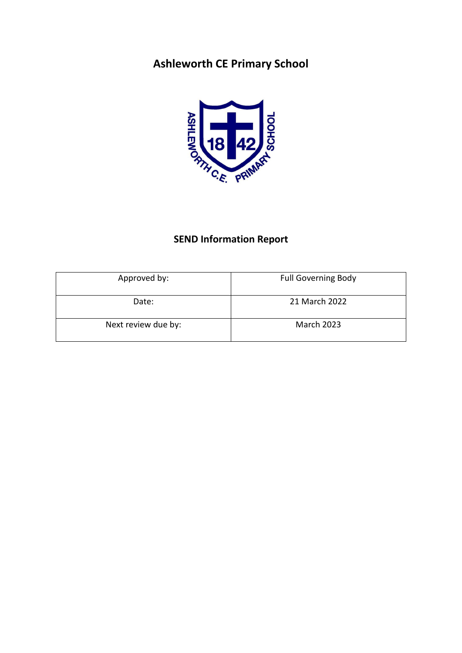# **Ashleworth CE Primary School**



# **SEND Information Report**

| Approved by:        | <b>Full Governing Body</b> |
|---------------------|----------------------------|
| Date:               | 21 March 2022              |
| Next review due by: | <b>March 2023</b>          |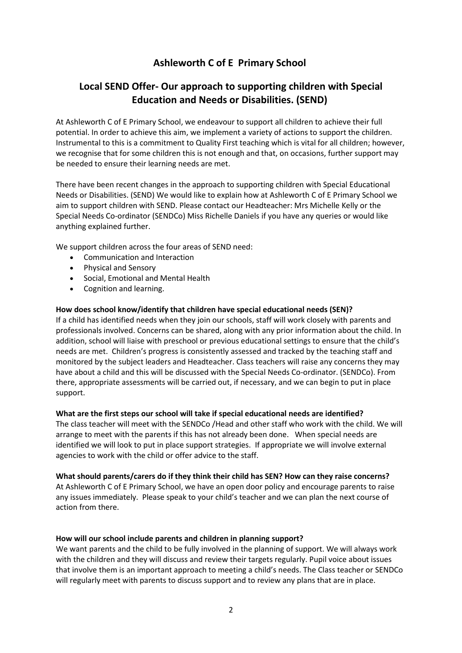# **Ashleworth C of E Primary School**

# **Local SEND Offer- Our approach to supporting children with Special Education and Needs or Disabilities. (SEND)**

At Ashleworth C of E Primary School, we endeavour to support all children to achieve their full potential. In order to achieve this aim, we implement a variety of actions to support the children. Instrumental to this is a commitment to Quality First teaching which is vital for all children; however, we recognise that for some children this is not enough and that, on occasions, further support may be needed to ensure their learning needs are met.

There have been recent changes in the approach to supporting children with Special Educational Needs or Disabilities. (SEND) We would like to explain how at Ashleworth C of E Primary School we aim to support children with SEND. Please contact our Headteacher: Mrs Michelle Kelly or the Special Needs Co-ordinator (SENDCo) Miss Richelle Daniels if you have any queries or would like anything explained further.

We support children across the four areas of SEND need:

- Communication and Interaction
- Physical and Sensory
- Social, Emotional and Mental Health
- Cognition and learning.

# **How does school know/identify that children have special educational needs (SEN)?**

If a child has identified needs when they join our schools, staff will work closely with parents and professionals involved. Concerns can be shared, along with any prior information about the child. In addition, school will liaise with preschool or previous educational settings to ensure that the child's needs are met. Children's progress is consistently assessed and tracked by the teaching staff and monitored by the subject leaders and Headteacher. Class teachers will raise any concerns they may have about a child and this will be discussed with the Special Needs Co-ordinator. (SENDCo). From there, appropriate assessments will be carried out, if necessary, and we can begin to put in place support.

# **What are the first steps our school will take if special educational needs are identified?**

The class teacher will meet with the SENDCo /Head and other staff who work with the child. We will arrange to meet with the parents if this has not already been done. When special needs are identified we will look to put in place support strategies. If appropriate we will involve external agencies to work with the child or offer advice to the staff.

# **What should parents/carers do if they think their child has SEN? How can they raise concerns?**

At Ashleworth C of E Primary School, we have an open door policy and encourage parents to raise any issues immediately. Please speak to your child's teacher and we can plan the next course of action from there.

# **How will our school include parents and children in planning support?**

We want parents and the child to be fully involved in the planning of support. We will always work with the children and they will discuss and review their targets regularly. Pupil voice about issues that involve them is an important approach to meeting a child's needs. The Class teacher or SENDCo will regularly meet with parents to discuss support and to review any plans that are in place.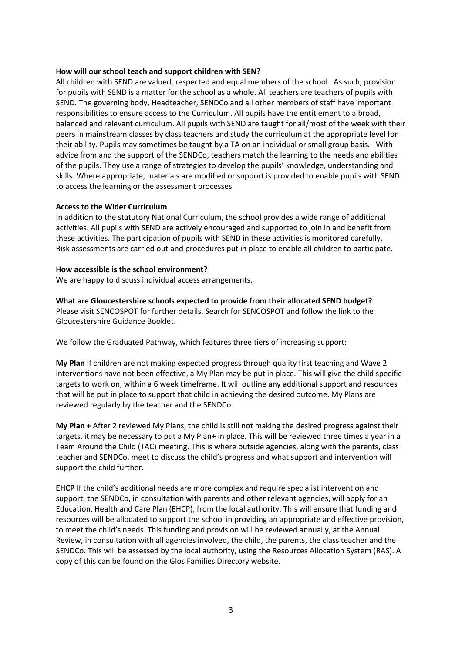# **How will our school teach and support children with SEN?**

All children with SEND are valued, respected and equal members of the school. As such, provision for pupils with SEND is a matter for the school as a whole. All teachers are teachers of pupils with SEND. The governing body, Headteacher, SENDCo and all other members of staff have important responsibilities to ensure access to the Curriculum. All pupils have the entitlement to a broad, balanced and relevant curriculum. All pupils with SEND are taught for all/most of the week with their peers in mainstream classes by class teachers and study the curriculum at the appropriate level for their ability. Pupils may sometimes be taught by a TA on an individual or small group basis. With advice from and the support of the SENDCo, teachers match the learning to the needs and abilities of the pupils. They use a range of strategies to develop the pupils' knowledge, understanding and skills. Where appropriate, materials are modified or support is provided to enable pupils with SEND to access the learning or the assessment processes

#### **Access to the Wider Curriculum**

In addition to the statutory National Curriculum, the school provides a wide range of additional activities. All pupils with SEND are actively encouraged and supported to join in and benefit from these activities. The participation of pupils with SEND in these activities is monitored carefully. Risk assessments are carried out and procedures put in place to enable all children to participate.

#### **How accessible is the school environment?**

We are happy to discuss individual access arrangements.

**What are Gloucestershire schools expected to provide from their allocated SEND budget?**

Please visit SENCOSPOT for further details. Search for SENCOSPOT and follow the link to the Gloucestershire Guidance Booklet.

We follow the Graduated Pathway, which features three tiers of increasing support:

**My Plan** If children are not making expected progress through quality first teaching and Wave 2 interventions have not been effective, a My Plan may be put in place. This will give the child specific targets to work on, within a 6 week timeframe. It will outline any additional support and resources that will be put in place to support that child in achieving the desired outcome. My Plans are reviewed regularly by the teacher and the SENDCo.

**My Plan +** After 2 reviewed My Plans, the child is still not making the desired progress against their targets, it may be necessary to put a My Plan+ in place. This will be reviewed three times a year in a Team Around the Child (TAC) meeting. This is where outside agencies, along with the parents, class teacher and SENDCo, meet to discuss the child's progress and what support and intervention will support the child further.

**EHCP** If the child's additional needs are more complex and require specialist intervention and support, the SENDCo, in consultation with parents and other relevant agencies, will apply for an Education, Health and Care Plan (EHCP), from the local authority. This will ensure that funding and resources will be allocated to support the school in providing an appropriate and effective provision, to meet the child's needs. This funding and provision will be reviewed annually, at the Annual Review, in consultation with all agencies involved, the child, the parents, the class teacher and the SENDCo. This will be assessed by the local authority, using the Resources Allocation System (RAS). A copy of this can be found on the Glos Families Directory website.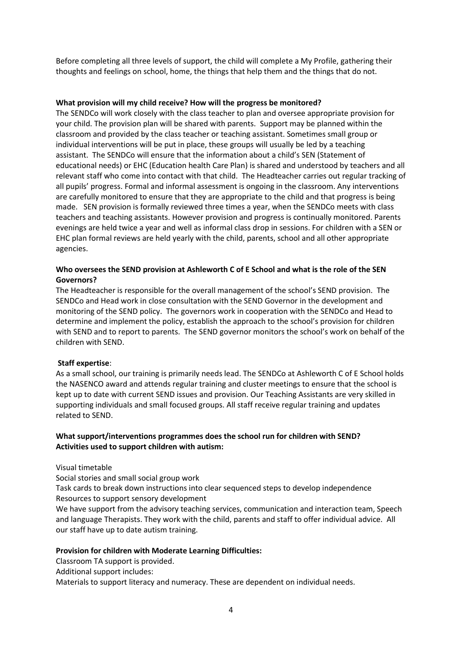Before completing all three levels of support, the child will complete a My Profile, gathering their thoughts and feelings on school, home, the things that help them and the things that do not.

# **What provision will my child receive? How will the progress be monitored?**

The SENDCo will work closely with the class teacher to plan and oversee appropriate provision for your child. The provision plan will be shared with parents. Support may be planned within the classroom and provided by the class teacher or teaching assistant. Sometimes small group or individual interventions will be put in place, these groups will usually be led by a teaching assistant. The SENDCo will ensure that the information about a child's SEN (Statement of educational needs) or EHC (Education health Care Plan) is shared and understood by teachers and all relevant staff who come into contact with that child. The Headteacher carries out regular tracking of all pupils' progress. Formal and informal assessment is ongoing in the classroom. Any interventions are carefully monitored to ensure that they are appropriate to the child and that progress is being made. SEN provision is formally reviewed three times a year, when the SENDCo meets with class teachers and teaching assistants. However provision and progress is continually monitored. Parents evenings are held twice a year and well as informal class drop in sessions. For children with a SEN or EHC plan formal reviews are held yearly with the child, parents, school and all other appropriate agencies.

# **Who oversees the SEND provision at Ashleworth C of E School and what is the role of the SEN Governors?**

The Headteacher is responsible for the overall management of the school's SEND provision. The SENDCo and Head work in close consultation with the SEND Governor in the development and monitoring of the SEND policy. The governors work in cooperation with the SENDCo and Head to determine and implement the policy, establish the approach to the school's provision for children with SEND and to report to parents. The SEND governor monitors the school's work on behalf of the children with SEND.

# **Staff expertise**:

As a small school, our training is primarily needs lead. The SENDCo at Ashleworth C of E School holds the NASENCO award and attends regular training and cluster meetings to ensure that the school is kept up to date with current SEND issues and provision. Our Teaching Assistants are very skilled in supporting individuals and small focused groups. All staff receive regular training and updates related to SEND.

# **What support/interventions programmes does the school run for children with SEND? Activities used to support children with autism:**

Visual timetable

Social stories and small social group work

Task cards to break down instructions into clear sequenced steps to develop independence Resources to support sensory development

We have support from the advisory teaching services, communication and interaction team, Speech and language Therapists. They work with the child, parents and staff to offer individual advice. All our staff have up to date autism training.

# **Provision for children with Moderate Learning Difficulties:**

Classroom TA support is provided.

Additional support includes:

Materials to support literacy and numeracy. These are dependent on individual needs.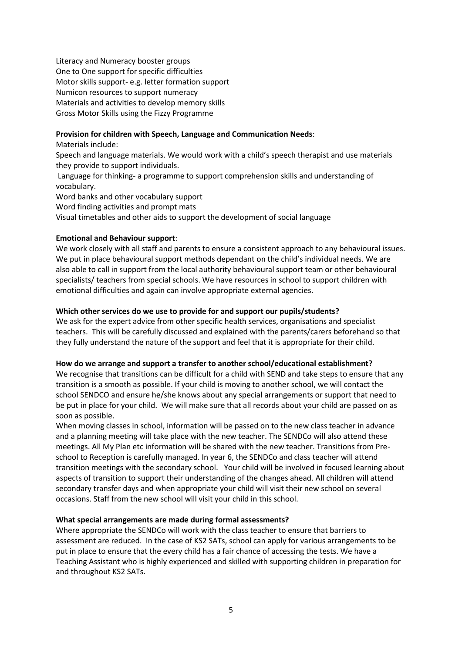Literacy and Numeracy booster groups One to One support for specific difficulties Motor skills support- e.g. letter formation support Numicon resources to support numeracy Materials and activities to develop memory skills Gross Motor Skills using the Fizzy Programme

# **Provision for children with Speech, Language and Communication Needs**:

Materials include:

Speech and language materials. We would work with a child's speech therapist and use materials they provide to support individuals.

Language for thinking- a programme to support comprehension skills and understanding of vocabulary.

Word banks and other vocabulary support

Word finding activities and prompt mats

Visual timetables and other aids to support the development of social language

# **Emotional and Behaviour support**:

We work closely with all staff and parents to ensure a consistent approach to any behavioural issues. We put in place behavioural support methods dependant on the child's individual needs. We are also able to call in support from the local authority behavioural support team or other behavioural specialists/ teachers from special schools. We have resources in school to support children with emotional difficulties and again can involve appropriate external agencies.

# **Which other services do we use to provide for and support our pupils/students?**

We ask for the expert advice from other specific health services, organisations and specialist teachers. This will be carefully discussed and explained with the parents/carers beforehand so that they fully understand the nature of the support and feel that it is appropriate for their child.

# **How do we arrange and support a transfer to another school/educational establishment?**

We recognise that transitions can be difficult for a child with SEND and take steps to ensure that any transition is a smooth as possible. If your child is moving to another school, we will contact the school SENDCO and ensure he/she knows about any special arrangements or support that need to be put in place for your child. We will make sure that all records about your child are passed on as soon as possible.

When moving classes in school, information will be passed on to the new class teacher in advance and a planning meeting will take place with the new teacher. The SENDCo will also attend these meetings. All My Plan etc information will be shared with the new teacher. Transitions from Preschool to Reception is carefully managed. In year 6, the SENDCo and class teacher will attend transition meetings with the secondary school. Your child will be involved in focused learning about aspects of transition to support their understanding of the changes ahead. All children will attend secondary transfer days and when appropriate your child will visit their new school on several occasions. Staff from the new school will visit your child in this school.

# **What special arrangements are made during formal assessments?**

Where appropriate the SENDCo will work with the class teacher to ensure that barriers to assessment are reduced. In the case of KS2 SATs, school can apply for various arrangements to be put in place to ensure that the every child has a fair chance of accessing the tests. We have a Teaching Assistant who is highly experienced and skilled with supporting children in preparation for and throughout KS2 SATs.